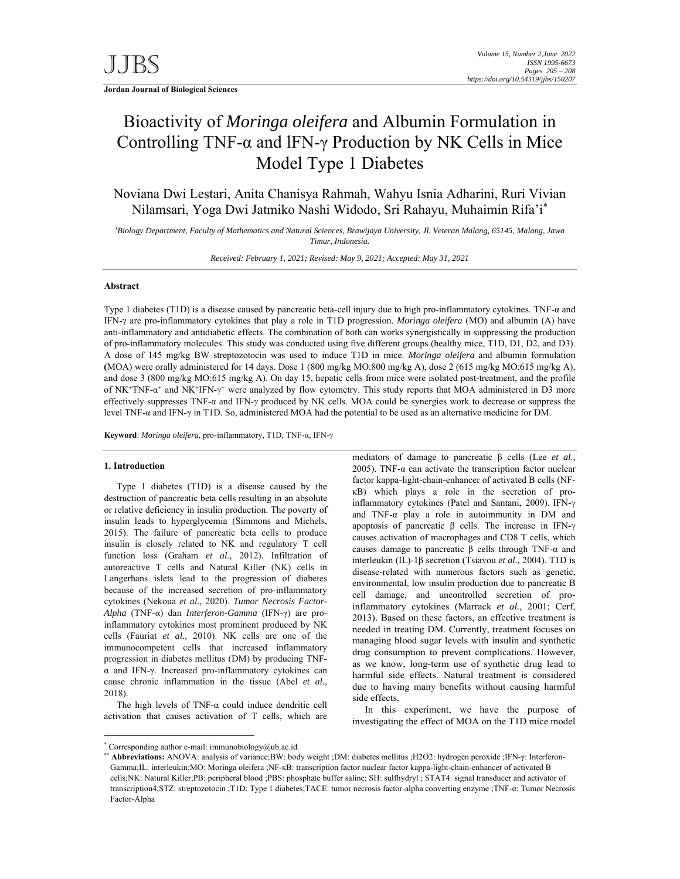**Jordan Journal of Biological Sciences** 

# Bioactivity of *Moringa oleifera* and Albumin Formulation in Controlling TNF- $\alpha$  and IFN- $\gamma$  Production by NK Cells in Mice Model Type 1 Diabetes

Noviana Dwi Lestari, Anita Chanisya Rahmah, Wahyu Isnia Adharini, Ruri Vivian Nilamsari, Yoga Dwi Jatmiko Nashi Widodo, Sri Rahayu, Muhaimin Rifa'i\*

*1 Biology Department, Faculty of Mathematics and Natural Sciences, Brawijaya University, Jl. Veteran Malang, 65145, Malang, Jawa Timur, Indonesia.* 

*Received: February 1, 2021; Revised: May 9, 2021; Accepted: May 31, 2021*

# **Abstract**

Type 1 diabetes (T1D) is a disease caused by pancreatic beta-cell injury due to high pro-inflammatory cytokines. TNF- $\alpha$  and IFN-γ are pro-inflammatory cytokines that play a role in T1D progression. *Moringa oleifera* (MO) and albumin (A) have anti-inflammatory and antidiabetic effects. The combination of both can works synergistically in suppressing the production of pro-inflammatory molecules. This study was conducted using five different groups (healthy mice, T1D, D1, D2, and D3). A dose of 145 mg/kg BW streptozotocin was used to induce T1D in mice. *Moringa oleifera* and albumin formulation **(**MOA) were orally administered for 14 days. Dose 1 (800 mg/kg MO:800 mg/kg A), dose 2 (615 mg/kg MO:615 mg/kg A), and dose 3 (800 mg/kg MO:615 mg/kg A). On day 15, hepatic cells from mice were isolated post-treatment, and the profile of NK+TNF-α+ and NK+IFN-γ+ were analyzed by flow cytometry. This study reports that MOA administered in D3 more effectively suppresses TNF-α and IFN-γ produced by NK cells. MOA could be synergies work to decrease or suppress the level TNF-α and IFN-γ in T1D. So, administered MOA had the potential to be used as an alternative medicine for DM.

**Keyword**: *Moringa oleifera*, pro-inflammatory, T1D, TNF-α, IFN-γ

## **1. Introduction**

-

Type 1 diabetes  $(T1D)$  is a disease caused by the destruction of pancreatic beta cells resulting in an absolute or relative deficiency in insulin production. The poverty of insulin leads to hyperglycemia (Simmons and Michels, 2015). The failure of pancreatic beta cells to produce insulin is closely related to NK and regulatory T cell function loss (Graham *et al.,* 2012). Infiltration of autoreactive T cells and Natural Killer (NK) cells in Langerhans islets lead to the progression of diabetes because of the increased secretion of pro-inflammatory cytokines (Nekoua *et al.,* 2020). *Tumor Necrosis Factor-Alpha* (TNF-α) dan *Interferon-Gamma* (IFN-γ) are proinflammatory cytokines most prominent produced by NK cells (Fauriat *et al.,* 2010). NK cells are one of the immunocompetent cells that increased inflammatory progression in diabetes mellitus (DM) by producing TNFα and IFN-γ. Increased pro-inflammatory cytokines can cause chronic inflammation in the tissue (Abel *et al.,*  2018).

The high levels of TNF-α could induce dendritic cell activation that causes activation of T cells, which are

mediators of damage to pancreatic β cells (Lee *et al.,*  2005). TNF- $\alpha$  can activate the transcription factor nuclear factor kappa-light-chain-enhancer of activated B cells (NFκB) which plays a role in the secretion of proinflammatory cytokines (Patel and Santani, 2009). IFN-γ and TNF- $\alpha$  play a role in autoimmunity in DM and apoptosis of pancreatic β cells. The increase in IFN-γ causes activation of macrophages and CD8 T cells, which causes damage to pancreatic β cells through TNF-α and interleukin (IL)-1β secretion (Tsiavou *et al.,* 2004). T1D is disease-related with numerous factors such as genetic, environmental, low insulin production due to pancreatic B cell damage, and uncontrolled secretion of proinflammatory cytokines (Marrack *et al.,* 2001; Cerf, 2013). Based on these factors, an effective treatment is needed in treating DM. Currently, treatment focuses on managing blood sugar levels with insulin and synthetic drug consumption to prevent complications. However, as we know, long-term use of synthetic drug lead to harmful side effects. Natural treatment is considered due to having many benefits without causing harmful side effects.

In this experiment, we have the purpose of investigating the effect of MOA on the T1D mice model

<sup>\*</sup> Corresponding author e-mail: immunobiology@ub.ac.id.

<sup>\*\*</sup> **Abbreviations:** ANOVA: analysis of variance;BW: body weight ;DM: diabetes mellitus ;H2O2: hydrogen peroxide ;IFN-γ: Interferon-Gamma;IL: interleukin;MO: Moringa oleifera ;NF-κB: transcription factor nuclear factor kappa-light-chain-enhancer of activated B cells;NK: Natural Killer;PB: peripheral blood ;PBS: phosphate buffer saline; SH: sulfhydryl ; STAT4: signal transducer and activator of transcription4;STZ: streptozotocin ;T1D: Type 1 diabetes;TACE: tumor necrosis factor-alpha converting enzyme ;TNF-α: Tumor Necrosis Factor-Alpha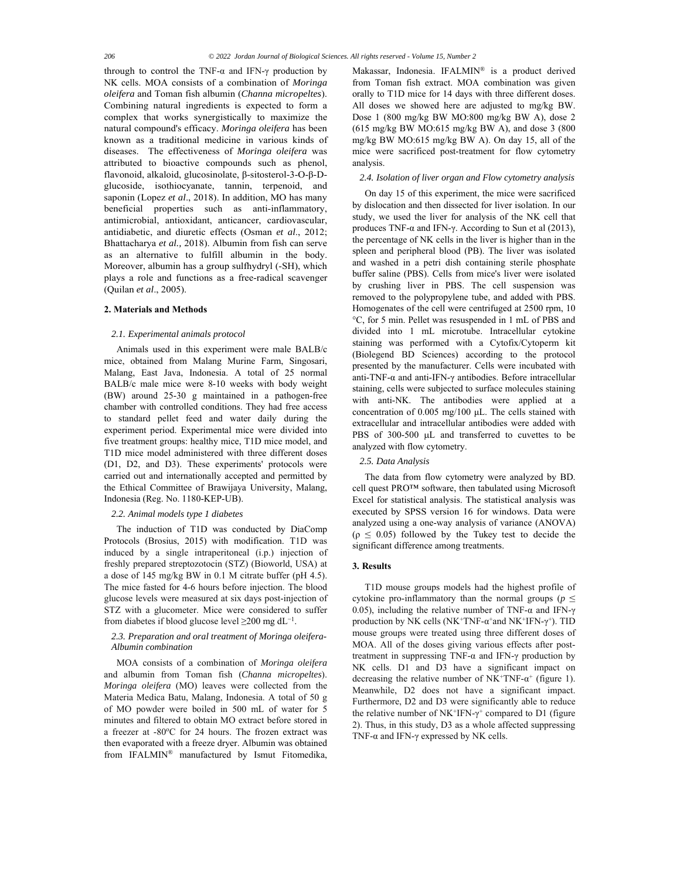through to control the TNF-α and IFN-γ production by NK cells. MOA consists of a combination of *Moringa oleifera* and Toman fish albumin (*Channa micropeltes*). Combining natural ingredients is expected to form a complex that works synergistically to maximize the natural compound's efficacy. *Moringa oleifera* has been known as a traditional medicine in various kinds of diseases. The effectiveness of *Moringa oleifera* was attributed to bioactive compounds such as phenol, flavonoid, alkaloid, glucosinolate, β-sitosterol-3-O-β-Dglucoside, isothiocyanate, tannin, terpenoid, and saponin (Lopez *et al*., 2018). In addition, MO has many beneficial properties such as anti-inflammatory, antimicrobial, antioxidant, anticancer, cardiovascular, antidiabetic, and diuretic effects (Osman *et al*., 2012; Bhattacharya *et al.,* 2018). Albumin from fish can serve as an alternative to fulfill albumin in the body. Moreover, albumin has a group sulfhydryl (-SH), which plays a role and functions as a free-radical scavenger (Quilan *et al*., 2005).

## **2. Materials and Methods**

### *2.1. Experimental animals protocol*

Animals used in this experiment were male BALB/c mice, obtained from Malang Murine Farm, Singosari, Malang, East Java, Indonesia. A total of 25 normal BALB/c male mice were 8-10 weeks with body weight (BW) around 25-30 g maintained in a pathogen-free chamber with controlled conditions. They had free access to standard pellet feed and water daily during the experiment period. Experimental mice were divided into five treatment groups: healthy mice, T1D mice model, and T1D mice model administered with three different doses (D1, D2, and D3). These experiments' protocols were carried out and internationally accepted and permitted by the Ethical Committee of Brawijaya University, Malang, Indonesia (Reg. No. 1180-KEP-UB).

#### *2.2. Animal models type 1 diabetes*

The induction of T1D was conducted by DiaComp Protocols (Brosius, 2015) with modification. T1D was induced by a single intraperitoneal (i.p.) injection of freshly prepared streptozotocin (STZ) (Bioworld, USA) at a dose of 145 mg/kg BW in 0.1 M citrate buffer (pH 4.5). The mice fasted for 4-6 hours before injection. The blood glucose levels were measured at six days post-injection of STZ with a glucometer. Mice were considered to suffer from diabetes if blood glucose level  $\geq$ 200 mg dL<sup>-1</sup>.

# *2.3. Preparation and oral treatment of Moringa oleifera-Albumin combination*

MOA consists of a combination of *Moringa oleifera* and albumin from Toman fish (*Channa micropeltes*). *Moringa oleifera* (MO) leaves were collected from the Materia Medica Batu, Malang, Indonesia. A total of 50 g of MO powder were boiled in 500 mL of water for 5 minutes and filtered to obtain MO extract before stored in a freezer at -80°C for 24 hours. The frozen extract was then evaporated with a freeze dryer. Albumin was obtained from IFALMIN® manufactured by Ismut Fitomedika, Makassar, Indonesia. IFALMIN® is a product derived from Toman fish extract. MOA combination was given orally to T1D mice for 14 days with three different doses. All doses we showed here are adjusted to mg/kg BW. Dose 1 (800 mg/kg BW MO:800 mg/kg BW A), dose 2 (615 mg/kg BW MO:615 mg/kg BW A), and dose 3 (800 mg/kg BW MO:615 mg/kg BW A). On day 15, all of the mice were sacrificed post-treatment for flow cytometry analysis.

# *2.4. Isolation of liver organ and Flow cytometry analysis*

On day 15 of this experiment, the mice were sacrificed by dislocation and then dissected for liver isolation. In our study, we used the liver for analysis of the NK cell that produces TNF-α and IFN-γ. According to Sun et al (2013), the percentage of NK cells in the liver is higher than in the spleen and peripheral blood (PB). The liver was isolated and washed in a petri dish containing sterile phosphate buffer saline (PBS). Cells from mice's liver were isolated by crushing liver in PBS. The cell suspension was removed to the polypropylene tube, and added with PBS. Homogenates of the cell were centrifuged at 2500 rpm, 10 °C, for 5 min. Pellet was resuspended in 1 mL of PBS and divided into 1 mL microtube. Intracellular cytokine staining was performed with a Cytofix/Cytoperm kit (Biolegend BD Sciences) according to the protocol presented by the manufacturer. Cells were incubated with anti-TNF-α and anti-IFN-γ antibodies. Before intracellular staining, cells were subjected to surface molecules staining with anti-NK. The antibodies were applied at a concentration of 0.005 mg/100 μL. The cells stained with extracellular and intracellular antibodies were added with PBS of 300-500 µL and transferred to cuvettes to be analyzed with flow cytometry.

#### *2.5. Data Analysis*

The data from flow cytometry were analyzed by BD. cell quest PRO™ software, then tabulated using Microsoft Excel for statistical analysis. The statistical analysis was executed by SPSS version 16 for windows. Data were analyzed using a one-way analysis of variance (ANOVA)  $(p \le 0.05)$  followed by the Tukey test to decide the significant difference among treatments.

# **3. Results**

T1D mouse groups models had the highest profile of cytokine pro-inflammatory than the normal groups ( $p \leq$ 0.05), including the relative number of TNF- $\alpha$  and IFN- $\gamma$ production by NK cells (NK+TNF- $\alpha^+$ and NK+IFN- $\gamma^+$ ). TID mouse groups were treated using three different doses of MOA. All of the doses giving various effects after posttreatment in suppressing TNF-α and IFN-γ production by NK cells. D1 and D3 have a significant impact on decreasing the relative number of NK<sup>+</sup>TNF- $\alpha$ <sup>+</sup> (figure 1). Meanwhile, D2 does not have a significant impact. Furthermore, D2 and D3 were significantly able to reduce the relative number of NK+IFN-γ+ compared to D1 (figure 2). Thus, in this study, D3 as a whole affected suppressing TNF-α and IFN-γ expressed by NK cells.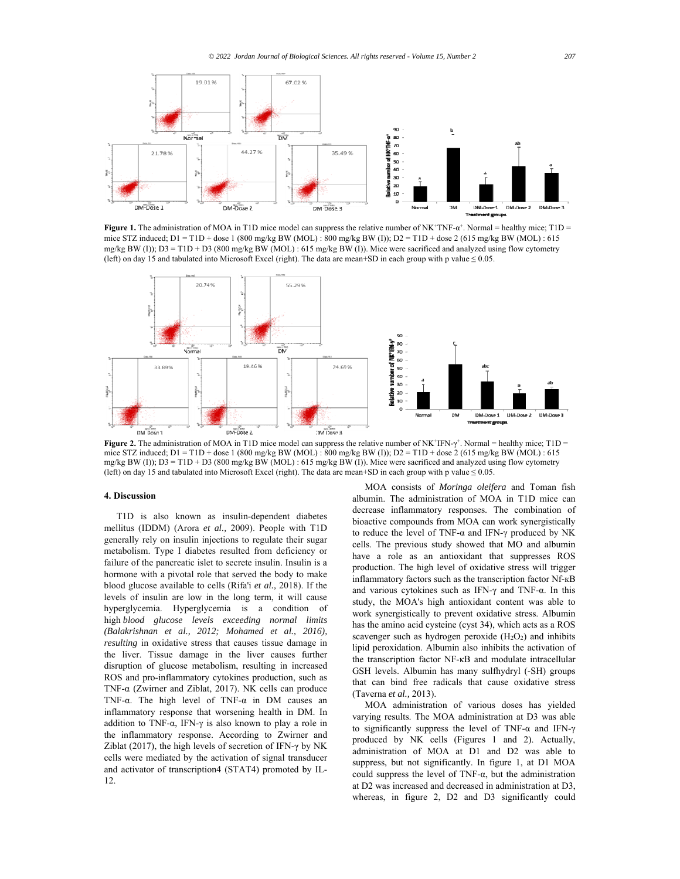

**Figure 1.** The administration of MOA in T1D mice model can suppress the relative number of  $NK^+TNF-\alpha^+$ . Normal = healthy mice; T1D = mice STZ induced; D1 = T1D + dose 1 (800 mg/kg BW (MOL) : 800 mg/kg BW (I)); D2 = T1D + dose 2 (615 mg/kg BW (MOL) : 615 mg/kg BW (I)); D3 = T1D + D3 (800 mg/kg BW (MOL) : 615 mg/kg BW (I)). Mice were sacrificed and analyzed using flow cytometry (left) on day 15 and tabulated into Microsoft Excel (right). The data are mean+SD in each group with p value ≤ 0.05.



**Figure 2.** The administration of MOA in T1D mice model can suppress the relative number of  $N K^{\dagger} I F N - \gamma^{\dagger}$ . Normal = healthy mice; T1D = mice STZ induced; D1 = T1D + dose 1 (800 mg/kg BW (MOL) : 800 mg/kg BW (I)); D2 = T1D + dose 2 (615 mg/kg BW (MOL) : 615 mg/kg BW (I)); D3 = T1D + D3 (800 mg/kg BW (MOL) : 615 mg/kg BW (I)). Mice were sacrificed and analyzed using flow cytometry (left) on day 15 and tabulated into Microsoft Excel (right). The data are mean+SD in each group with p value ≤ 0.05.

# **4. Discussion**

T1D is also known as insulin-dependent diabetes mellitus (IDDM) (Arora *et al.,* 2009). People with T1D generally rely on insulin injections to regulate their sugar metabolism. Type I diabetes resulted from deficiency or failure of the pancreatic islet to secrete insulin. Insulin is a hormone with a pivotal role that served the body to make blood glucose available to cells (Rifa'i *et al.,* 2018). If the levels of insulin are low in the long term, it will cause hyperglycemia. Hyperglycemia is a condition of high *blood glucose levels exceeding normal limits (Balakrishnan et al., 2012; Mohamed et al., 2016), resulting* in oxidative stress that causes tissue damage in the liver. Tissue damage in the liver causes further disruption of glucose metabolism, resulting in increased ROS and pro-inflammatory cytokines production, such as TNF-α (Zwirner and Ziblat, 2017). NK cells can produce TNF-α. The high level of TNF-α in DM causes an inflammatory response that worsening health in DM. In addition to TNF-α, IFN-γ is also known to play a role in the inflammatory response. According to Zwirner and Ziblat (2017), the high levels of secretion of IFN- $\gamma$  by NK cells were mediated by the activation of signal transducer and activator of transcription4 (STAT4) promoted by IL-12.

MOA consists of *Moringa oleifera* and Toman fish albumin. The administration of MOA in T1D mice can decrease inflammatory responses. The combination of bioactive compounds from MOA can work synergistically to reduce the level of TNF-α and IFN-γ produced by NK cells. The previous study showed that MO and albumin have a role as an antioxidant that suppresses ROS production. The high level of oxidative stress will trigger inflammatory factors such as the transcription factor Nf-кB and various cytokines such as IFN-γ and TNF-α. In this study, the MOA's high antioxidant content was able to work synergistically to prevent oxidative stress. Albumin has the amino acid cysteine (cyst 34), which acts as a ROS scavenger such as hydrogen peroxide  $(H_2O_2)$  and inhibits lipid peroxidation. Albumin also inhibits the activation of the transcription factor NF-κB and modulate intracellular GSH levels. Albumin has many sulfhydryl (-SH) groups that can bind free radicals that cause oxidative stress (Taverna *et al.,* 2013).

MOA administration of various doses has yielded varying results. The MOA administration at D3 was able to significantly suppress the level of TNF-α and IFN-γ produced by NK cells (Figures 1 and 2). Actually, administration of MOA at D1 and D2 was able to suppress, but not significantly. In figure 1, at D1 MOA could suppress the level of TNF- $\alpha$ , but the administration at D2 was increased and decreased in administration at D3, whereas, in figure 2, D2 and D3 significantly could